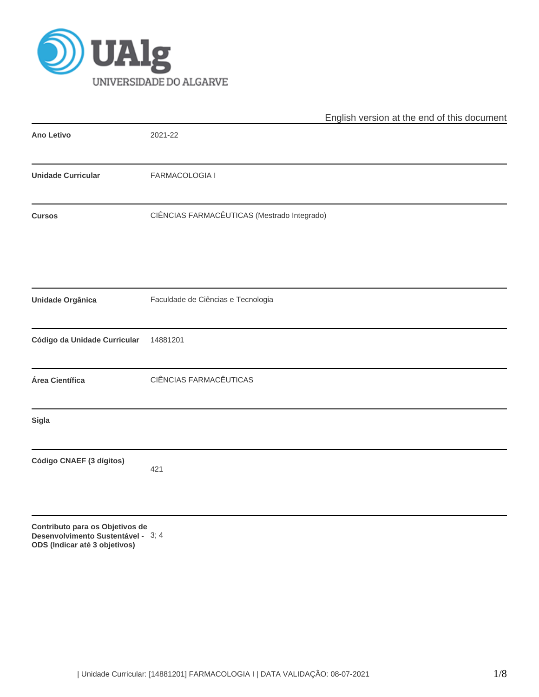

|                                 | English version at the end of this document |
|---------------------------------|---------------------------------------------|
| <b>Ano Letivo</b>               | 2021-22                                     |
| <b>Unidade Curricular</b>       | FARMACOLOGIA I                              |
| <b>Cursos</b>                   | CIÊNCIAS FARMACÊUTICAS (Mestrado Integrado) |
|                                 |                                             |
| <b>Unidade Orgânica</b>         | Faculdade de Ciências e Tecnologia          |
| Código da Unidade Curricular    | 14881201                                    |
| Área Científica                 | CIÊNCIAS FARMACÊUTICAS                      |
| <b>Sigla</b>                    |                                             |
| Código CNAEF (3 dígitos)        | 421                                         |
| Contributo para os Objetivos de |                                             |

**Desenvolvimento Sustentável -** 3; 4**ODS (Indicar até 3 objetivos)**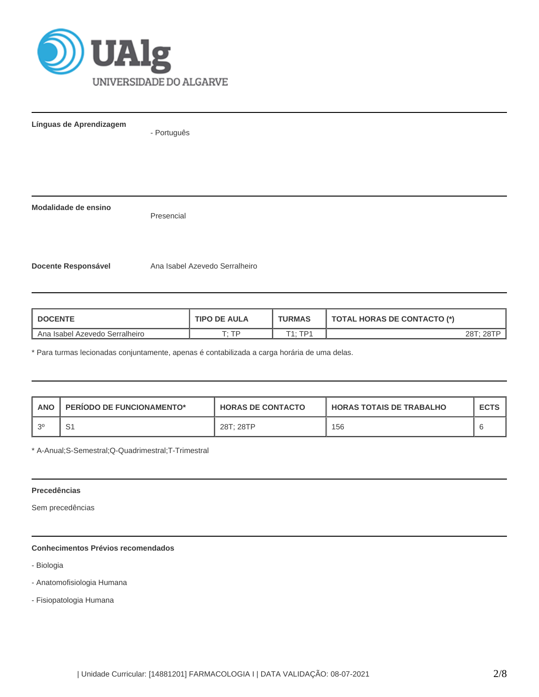

**Línguas de Aprendizagem**

- Português

**Modalidade de ensino**

Presencial

Docente Responsável **Ana Isabel Azevedo Serralheiro** 

| <b>I DOCENTE</b>                 | <b>TIPO DE AULA</b> | <b>TURMAS</b>  | <b>TOTAL HORAS DE CONTACTO (*)</b> |  |  |
|----------------------------------|---------------------|----------------|------------------------------------|--|--|
| L Ana Isabel Azevedo Serralheiro | ר יד                | $T1 \cdot TPI$ | 28T: 28TP                          |  |  |

\* Para turmas lecionadas conjuntamente, apenas é contabilizada a carga horária de uma delas.

| <b>ANO</b> | <b>PERIODO DE FUNCIONAMENTO*</b> | <b>HORAS DE CONTACTO</b> | <b>HORAS TOTAIS DE TRABALHO</b> | <b>ECTS</b> |
|------------|----------------------------------|--------------------------|---------------------------------|-------------|
| ຸລ0        | ◡                                | 28T: 28TP                | 156                             |             |

\* A-Anual;S-Semestral;Q-Quadrimestral;T-Trimestral

## **Precedências**

Sem precedências

# **Conhecimentos Prévios recomendados**

- Biologia
- Anatomofisiologia Humana
- Fisiopatologia Humana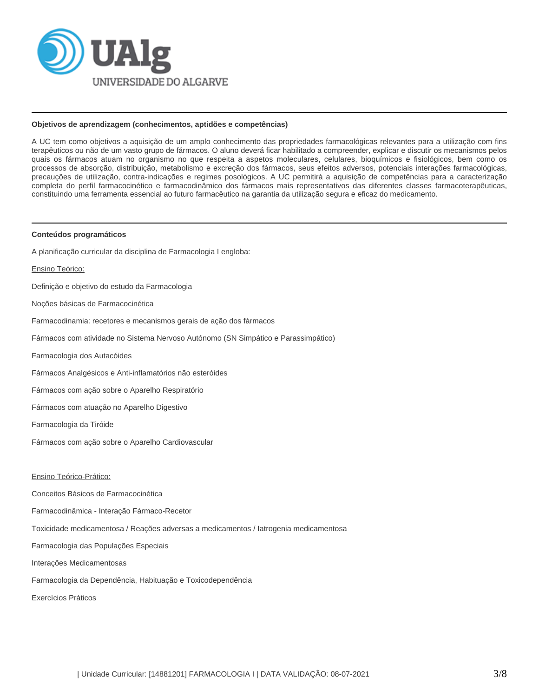

#### **Objetivos de aprendizagem (conhecimentos, aptidões e competências)**

A UC tem como objetivos a aquisição de um amplo conhecimento das propriedades farmacológicas relevantes para a utilização com fins terapêuticos ou não de um vasto grupo de fármacos. O aluno deverá ficar habilitado a compreender, explicar e discutir os mecanismos pelos quais os fármacos atuam no organismo no que respeita a aspetos moleculares, celulares, bioquímicos e fisiológicos, bem como os processos de absorção, distribuição, metabolismo e excreção dos fármacos, seus efeitos adversos, potenciais interações farmacológicas, precauções de utilização, contra-indicações e regimes posológicos. A UC permitirá a aquisição de competências para a caracterização completa do perfil farmacocinético e farmacodinâmico dos fármacos mais representativos das diferentes classes farmacoterapêuticas, constituindo uma ferramenta essencial ao futuro farmacêutico na garantia da utilização segura e eficaz do medicamento.

#### **Conteúdos programáticos**

A planificação curricular da disciplina de Farmacologia I engloba:

Ensino Teórico:

Definição e objetivo do estudo da Farmacologia

Noções básicas de Farmacocinética

Farmacodinamia: recetores e mecanismos gerais de ação dos fármacos

Fármacos com atividade no Sistema Nervoso Autónomo (SN Simpático e Parassimpático)

Farmacologia dos Autacóides

Fármacos Analgésicos e Anti-inflamatórios não esteróides

Fármacos com ação sobre o Aparelho Respiratório

Fármacos com atuação no Aparelho Digestivo

Farmacologia da Tiróide

Fármacos com ação sobre o Aparelho Cardiovascular

Ensino Teórico-Prático:

Conceitos Básicos de Farmacocinética

Farmacodinâmica - Interação Fármaco-Recetor

Toxicidade medicamentosa / Reações adversas a medicamentos / Iatrogenia medicamentosa

Farmacologia das Populações Especiais

Interações Medicamentosas

Farmacologia da Dependência, Habituação e Toxicodependência

Exercícios Práticos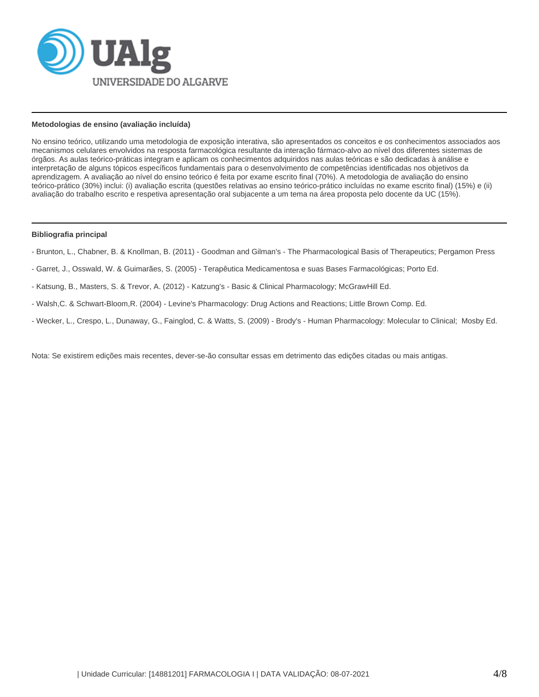

### **Metodologias de ensino (avaliação incluída)**

No ensino teórico, utilizando uma metodologia de exposição interativa, são apresentados os conceitos e os conhecimentos associados aos mecanismos celulares envolvidos na resposta farmacológica resultante da interação fármaco-alvo ao nível dos diferentes sistemas de órgãos. As aulas teórico-práticas integram e aplicam os conhecimentos adquiridos nas aulas teóricas e são dedicadas à análise e interpretação de alguns tópicos específicos fundamentais para o desenvolvimento de competências identificadas nos objetivos da aprendizagem. A avaliação ao nível do ensino teórico é feita por exame escrito final (70%). A metodologia de avaliação do ensino teórico-prático (30%) inclui: (i) avaliação escrita (questões relativas ao ensino teórico-prático incluídas no exame escrito final) (15%) e (ii) avaliação do trabalho escrito e respetiva apresentação oral subjacente a um tema na área proposta pelo docente da UC (15%).

#### **Bibliografia principal**

- Brunton, L., Chabner, B. & Knollman, B. (2011) Goodman and Gilman's The Pharmacological Basis of Therapeutics; Pergamon Press
- Garret, J., Osswald, W. & Guimarães, S. (2005) Terapêutica Medicamentosa e suas Bases Farmacológicas; Porto Ed.
- Katsung, B., Masters, S. & Trevor, A. (2012) Katzung's Basic & Clinical Pharmacology; McGrawHill Ed.
- Walsh,C. & Schwart-Bloom,R. (2004) Levine's Pharmacology: Drug Actions and Reactions; Little Brown Comp. Ed.
- Wecker, L., Crespo, L., Dunaway, G., Fainglod, C. & Watts, S. (2009) Brody's Human Pharmacology: Molecular to Clinical; Mosby Ed.

Nota: Se existirem edições mais recentes, dever-se-ão consultar essas em detrimento das edições citadas ou mais antigas.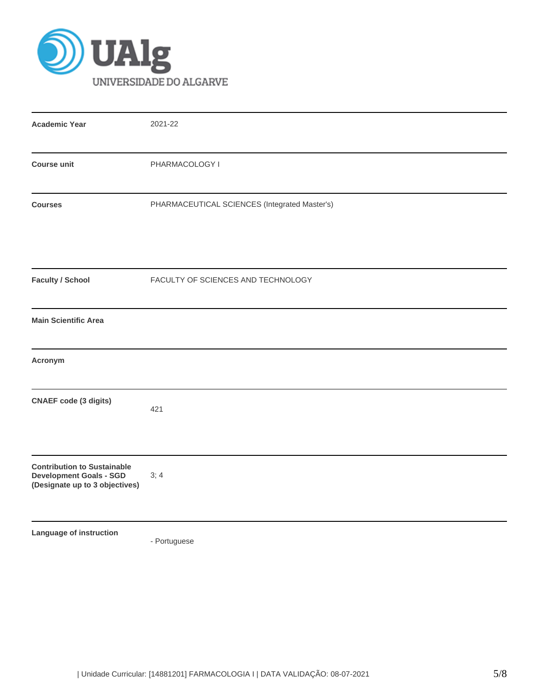

| <b>Academic Year</b>                                                                                   | 2021-22                                       |
|--------------------------------------------------------------------------------------------------------|-----------------------------------------------|
| <b>Course unit</b>                                                                                     | PHARMACOLOGY I                                |
| <b>Courses</b>                                                                                         | PHARMACEUTICAL SCIENCES (Integrated Master's) |
| <b>Faculty / School</b>                                                                                | FACULTY OF SCIENCES AND TECHNOLOGY            |
| <b>Main Scientific Area</b>                                                                            |                                               |
| Acronym                                                                                                |                                               |
| <b>CNAEF</b> code (3 digits)                                                                           | 421                                           |
| <b>Contribution to Sustainable</b><br><b>Development Goals - SGD</b><br>(Designate up to 3 objectives) | 3; 4                                          |
| Language of instruction                                                                                |                                               |

- Portuguese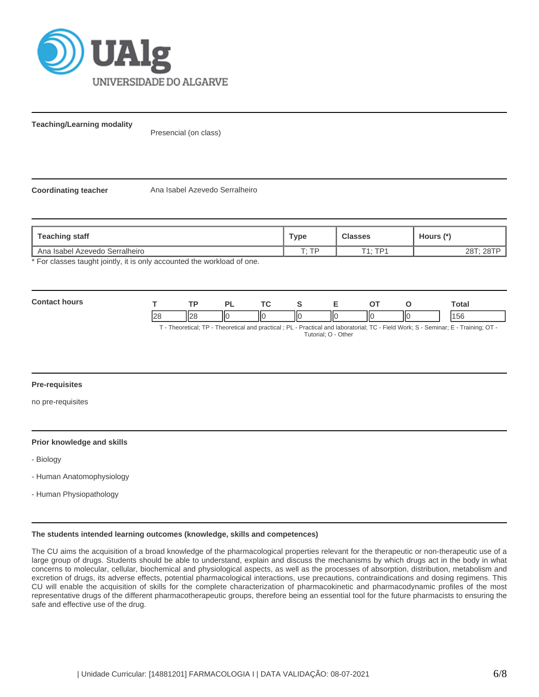

**Teaching/Learning modality**

Presencial (on class)

**Coordinating teacher** Ana Isabel Azevedo Serralheiro

| Teaching staff                                                                                                                                                                                                                  | туре  | <b>Classes</b> | Hours (*) |
|---------------------------------------------------------------------------------------------------------------------------------------------------------------------------------------------------------------------------------|-------|----------------|-----------|
| L Ana Isabel Azevedo Serralheiro                                                                                                                                                                                                | T. TD | T1 · TD1       |           |
| $\Phi$ . Finally, the contraction of the contract of the contraction of the contraction of the contraction of the contraction of the contract of the contract of the contract of the contract of the contract of the contract o |       |                |           |

For classes taught jointly, it is only accounted the workload of one.

| Con<br>11 i r |                |             | ורז | T.C |    |    |    |    | Total     |
|---------------|----------------|-------------|-----|-----|----|----|----|----|-----------|
|               | $\bigcap$<br>~ | ப∩ட<br>بے ر | ΠС  |     | ШΟ | IЮ | IЮ | нс | AET<br>эc |

T - Theoretical; TP - Theoretical and practical ; PL - Practical and laboratorial; TC - Field Work; S - Seminar; E - Training; OT - Tutorial; O - Other

## **Pre-requisites**

no pre-requisites

### **Prior knowledge and skills**

- Biology
- Human Anatomophysiology
- Human Physiopathology

#### **The students intended learning outcomes (knowledge, skills and competences)**

The CU aims the acquisition of a broad knowledge of the pharmacological properties relevant for the therapeutic or non-therapeutic use of a large group of drugs. Students should be able to understand, explain and discuss the mechanisms by which drugs act in the body in what concerns to molecular, cellular, biochemical and physiological aspects, as well as the processes of absorption, distribution, metabolism and excretion of drugs, its adverse effects, potential pharmacological interactions, use precautions, contraindications and dosing regimens. This CU will enable the acquisition of skills for the complete characterization of pharmacokinetic and pharmacodynamic profiles of the most representative drugs of the different pharmacotherapeutic groups, therefore being an essential tool for the future pharmacists to ensuring the safe and effective use of the drug.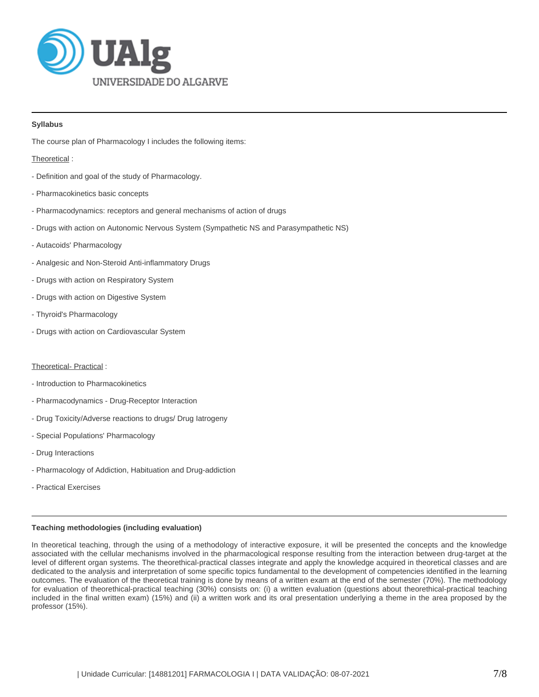

# **Syllabus**

The course plan of Pharmacology I includes the following items:

Theoretical :

- Definition and goal of the study of Pharmacology.
- Pharmacokinetics basic concepts
- Pharmacodynamics: receptors and general mechanisms of action of drugs
- Drugs with action on Autonomic Nervous System (Sympathetic NS and Parasympathetic NS)
- Autacoids' Pharmacology
- Analgesic and Non-Steroid Anti-inflammatory Drugs
- Drugs with action on Respiratory System
- Drugs with action on Digestive System
- Thyroid's Pharmacology
- Drugs with action on Cardiovascular System

### Theoretical- Practical :

- Introduction to Pharmacokinetics
- Pharmacodynamics Drug-Receptor Interaction
- Drug Toxicity/Adverse reactions to drugs/ Drug Iatrogeny
- Special Populations' Pharmacology
- Drug Interactions
- Pharmacology of Addiction, Habituation and Drug-addiction
- Practical Exercises

## **Teaching methodologies (including evaluation)**

In theoretical teaching, through the using of a methodology of interactive exposure, it will be presented the concepts and the knowledge associated with the cellular mechanisms involved in the pharmacological response resulting from the interaction between drug-target at the level of different organ systems. The theorethical-practical classes integrate and apply the knowledge acquired in theoretical classes and are dedicated to the analysis and interpretation of some specific topics fundamental to the development of competencies identified in the learning outcomes. The evaluation of the theoretical training is done by means of a written exam at the end of the semester (70%). The methodology for evaluation of theorethical-practical teaching (30%) consists on: (i) a written evaluation (questions about theorethical-practical teaching included in the final written exam) (15%) and (ii) a written work and its oral presentation underlying a theme in the area proposed by the professor (15%).